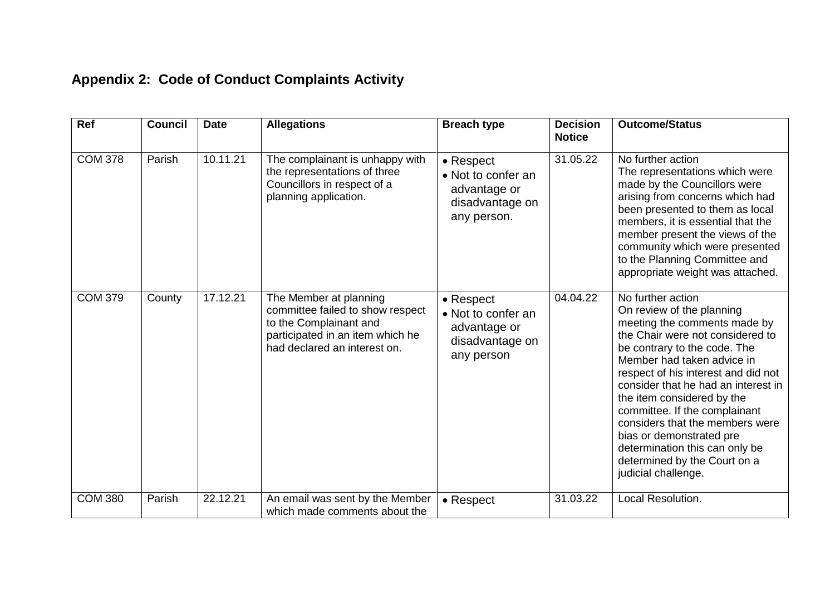## **Appendix 2: Code of Conduct Complaints Activity**

| Ref            | <b>Council</b> | <b>Date</b> | <b>Allegations</b>                                                                                                                                       | <b>Breach type</b>                                                                | <b>Decision</b><br><b>Notice</b> | <b>Outcome/Status</b>                                                                                                                                                                                                                                                                                                                                                                                                                                                                 |
|----------------|----------------|-------------|----------------------------------------------------------------------------------------------------------------------------------------------------------|-----------------------------------------------------------------------------------|----------------------------------|---------------------------------------------------------------------------------------------------------------------------------------------------------------------------------------------------------------------------------------------------------------------------------------------------------------------------------------------------------------------------------------------------------------------------------------------------------------------------------------|
| <b>COM 378</b> | Parish         | 10.11.21    | The complainant is unhappy with<br>the representations of three<br>Councillors in respect of a<br>planning application.                                  | • Respect<br>• Not to confer an<br>advantage or<br>disadvantage on<br>any person. | 31.05.22                         | No further action<br>The representations which were<br>made by the Councillors were<br>arising from concerns which had<br>been presented to them as local<br>members, it is essential that the<br>member present the views of the<br>community which were presented<br>to the Planning Committee and<br>appropriate weight was attached.                                                                                                                                              |
| <b>COM 379</b> | County         | 17.12.21    | The Member at planning<br>committee failed to show respect<br>to the Complainant and<br>participated in an item which he<br>had declared an interest on. | • Respect<br>• Not to confer an<br>advantage or<br>disadvantage on<br>any person  | 04.04.22                         | No further action<br>On review of the planning<br>meeting the comments made by<br>the Chair were not considered to<br>be contrary to the code. The<br>Member had taken advice in<br>respect of his interest and did not<br>consider that he had an interest in<br>the item considered by the<br>committee. If the complainant<br>considers that the members were<br>bias or demonstrated pre<br>determination this can only be<br>determined by the Court on a<br>judicial challenge. |
| <b>COM 380</b> | Parish         | 22.12.21    | An email was sent by the Member<br>which made comments about the                                                                                         | $\bullet$ Respect                                                                 | 31.03.22                         | Local Resolution.                                                                                                                                                                                                                                                                                                                                                                                                                                                                     |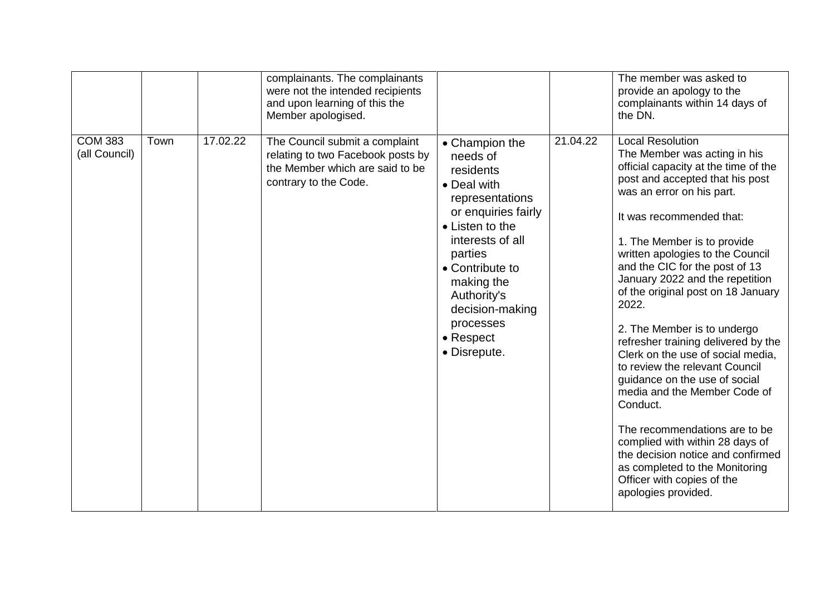|                                 |      |          | complainants. The complainants<br>were not the intended recipients<br>and upon learning of this the<br>Member apologised.       |                                                                                                                                                                                                                                                                 |          | The member was asked to<br>provide an apology to the<br>complainants within 14 days of<br>the DN.                                                                                                                                                                                                                                                                                                                                                                                                                                                                                                                                                                                                                                                                                                            |
|---------------------------------|------|----------|---------------------------------------------------------------------------------------------------------------------------------|-----------------------------------------------------------------------------------------------------------------------------------------------------------------------------------------------------------------------------------------------------------------|----------|--------------------------------------------------------------------------------------------------------------------------------------------------------------------------------------------------------------------------------------------------------------------------------------------------------------------------------------------------------------------------------------------------------------------------------------------------------------------------------------------------------------------------------------------------------------------------------------------------------------------------------------------------------------------------------------------------------------------------------------------------------------------------------------------------------------|
| <b>COM 383</b><br>(all Council) | Town | 17.02.22 | The Council submit a complaint<br>relating to two Facebook posts by<br>the Member which are said to be<br>contrary to the Code. | • Champion the<br>needs of<br>residents<br>• Deal with<br>representations<br>or enquiries fairly<br>• Listen to the<br>interests of all<br>parties<br>• Contribute to<br>making the<br>Authority's<br>decision-making<br>processes<br>• Respect<br>• Disrepute. | 21.04.22 | <b>Local Resolution</b><br>The Member was acting in his<br>official capacity at the time of the<br>post and accepted that his post<br>was an error on his part.<br>It was recommended that:<br>1. The Member is to provide<br>written apologies to the Council<br>and the CIC for the post of 13<br>January 2022 and the repetition<br>of the original post on 18 January<br>2022.<br>2. The Member is to undergo<br>refresher training delivered by the<br>Clerk on the use of social media,<br>to review the relevant Council<br>guidance on the use of social<br>media and the Member Code of<br>Conduct.<br>The recommendations are to be<br>complied with within 28 days of<br>the decision notice and confirmed<br>as completed to the Monitoring<br>Officer with copies of the<br>apologies provided. |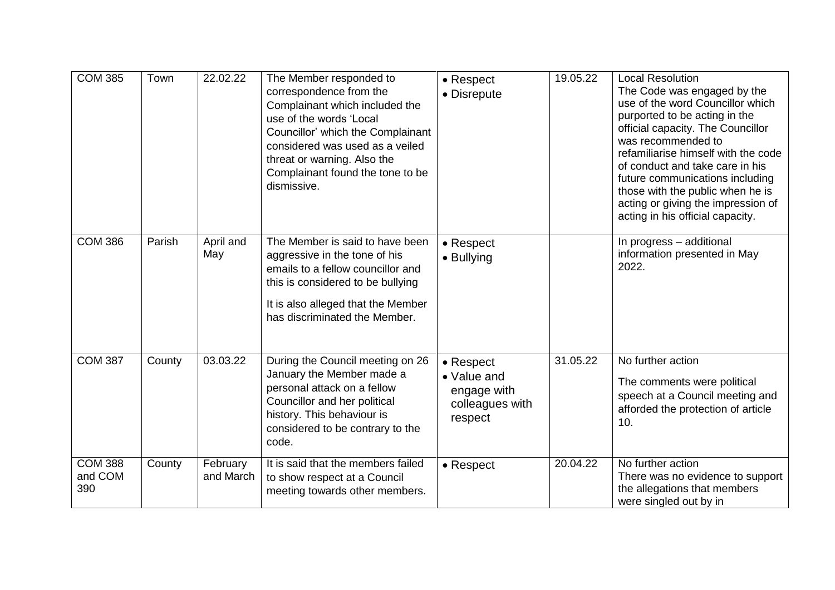| <b>COM 385</b>                   | Town   | 22.02.22              | The Member responded to<br>correspondence from the<br>Complainant which included the<br>use of the words 'Local<br>Councillor' which the Complainant<br>considered was used as a veiled<br>threat or warning. Also the<br>Complainant found the tone to be<br>dismissive. | • Respect<br>• Disrepute                                                      | 19.05.22 | <b>Local Resolution</b><br>The Code was engaged by the<br>use of the word Councillor which<br>purported to be acting in the<br>official capacity. The Councillor<br>was recommended to<br>refamiliarise himself with the code<br>of conduct and take care in his<br>future communications including<br>those with the public when he is<br>acting or giving the impression of<br>acting in his official capacity. |
|----------------------------------|--------|-----------------------|---------------------------------------------------------------------------------------------------------------------------------------------------------------------------------------------------------------------------------------------------------------------------|-------------------------------------------------------------------------------|----------|-------------------------------------------------------------------------------------------------------------------------------------------------------------------------------------------------------------------------------------------------------------------------------------------------------------------------------------------------------------------------------------------------------------------|
| <b>COM 386</b>                   | Parish | April and<br>May      | The Member is said to have been<br>aggressive in the tone of his<br>emails to a fellow councillor and<br>this is considered to be bullying<br>It is also alleged that the Member<br>has discriminated the Member.                                                         | • Respect<br>• Bullying                                                       |          | In progress - additional<br>information presented in May<br>2022.                                                                                                                                                                                                                                                                                                                                                 |
| <b>COM 387</b>                   | County | 03.03.22              | During the Council meeting on 26<br>January the Member made a<br>personal attack on a fellow<br>Councillor and her political<br>history. This behaviour is<br>considered to be contrary to the<br>code.                                                                   | $\bullet$ Respect<br>• Value and<br>engage with<br>colleagues with<br>respect | 31.05.22 | No further action<br>The comments were political<br>speech at a Council meeting and<br>afforded the protection of article<br>10.                                                                                                                                                                                                                                                                                  |
| <b>COM 388</b><br>and COM<br>390 | County | February<br>and March | It is said that the members failed<br>to show respect at a Council<br>meeting towards other members.                                                                                                                                                                      | • Respect                                                                     | 20.04.22 | No further action<br>There was no evidence to support<br>the allegations that members<br>were singled out by in                                                                                                                                                                                                                                                                                                   |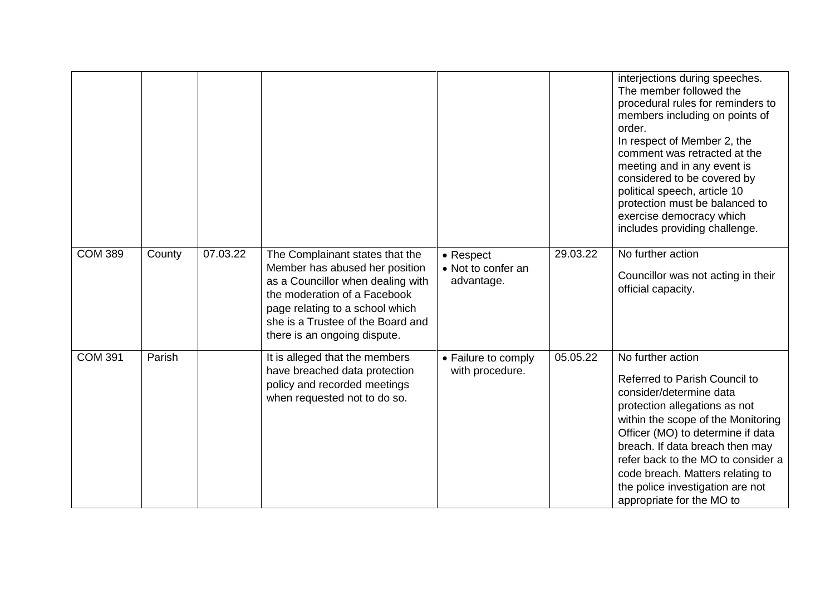|                |        |          |                                                                                                                                                                                                                                                |                                               |          | interjections during speeches.<br>The member followed the<br>procedural rules for reminders to<br>members including on points of<br>order.<br>In respect of Member 2, the<br>comment was retracted at the<br>meeting and in any event is<br>considered to be covered by<br>political speech, article 10<br>protection must be balanced to<br>exercise democracy which<br>includes providing challenge. |
|----------------|--------|----------|------------------------------------------------------------------------------------------------------------------------------------------------------------------------------------------------------------------------------------------------|-----------------------------------------------|----------|--------------------------------------------------------------------------------------------------------------------------------------------------------------------------------------------------------------------------------------------------------------------------------------------------------------------------------------------------------------------------------------------------------|
| <b>COM 389</b> | County | 07.03.22 | The Complainant states that the<br>Member has abused her position<br>as a Councillor when dealing with<br>the moderation of a Facebook<br>page relating to a school which<br>she is a Trustee of the Board and<br>there is an ongoing dispute. | • Respect<br>• Not to confer an<br>advantage. | 29.03.22 | No further action<br>Councillor was not acting in their<br>official capacity.                                                                                                                                                                                                                                                                                                                          |
| <b>COM 391</b> | Parish |          | It is alleged that the members<br>have breached data protection<br>policy and recorded meetings<br>when requested not to do so.                                                                                                                | • Failure to comply<br>with procedure.        | 05.05.22 | No further action<br><b>Referred to Parish Council to</b><br>consider/determine data<br>protection allegations as not<br>within the scope of the Monitoring<br>Officer (MO) to determine if data<br>breach. If data breach then may<br>refer back to the MO to consider a<br>code breach. Matters relating to<br>the police investigation are not<br>appropriate for the MO to                         |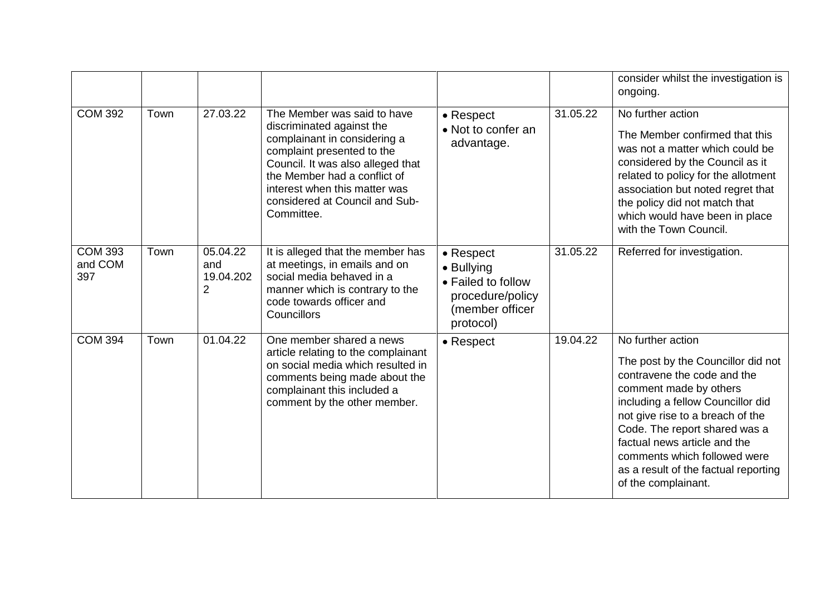|                                  |      |                                   |                                                                                                                                                                                                                                                                              |                                                                                                           |          | consider whilst the investigation is<br>ongoing.                                                                                                                                                                                                                                                                                                          |
|----------------------------------|------|-----------------------------------|------------------------------------------------------------------------------------------------------------------------------------------------------------------------------------------------------------------------------------------------------------------------------|-----------------------------------------------------------------------------------------------------------|----------|-----------------------------------------------------------------------------------------------------------------------------------------------------------------------------------------------------------------------------------------------------------------------------------------------------------------------------------------------------------|
| <b>COM 392</b>                   | Town | 27.03.22                          | The Member was said to have<br>discriminated against the<br>complainant in considering a<br>complaint presented to the<br>Council. It was also alleged that<br>the Member had a conflict of<br>interest when this matter was<br>considered at Council and Sub-<br>Committee. | • Respect<br>• Not to confer an<br>advantage.                                                             | 31.05.22 | No further action<br>The Member confirmed that this<br>was not a matter which could be<br>considered by the Council as it<br>related to policy for the allotment<br>association but noted regret that<br>the policy did not match that<br>which would have been in place<br>with the Town Council.                                                        |
| <b>COM 393</b><br>and COM<br>397 | Town | 05.04.22<br>and<br>19.04.202<br>2 | It is alleged that the member has<br>at meetings, in emails and on<br>social media behaved in a<br>manner which is contrary to the<br>code towards officer and<br>Councillors                                                                                                | $\bullet$ Respect<br>• Bullying<br>• Failed to follow<br>procedure/policy<br>(member officer<br>protocol) | 31.05.22 | Referred for investigation.                                                                                                                                                                                                                                                                                                                               |
| <b>COM 394</b>                   | Town | 01.04.22                          | One member shared a news<br>article relating to the complainant<br>on social media which resulted in<br>comments being made about the<br>complainant this included a<br>comment by the other member.                                                                         | $\bullet$ Respect                                                                                         | 19.04.22 | No further action<br>The post by the Councillor did not<br>contravene the code and the<br>comment made by others<br>including a fellow Councillor did<br>not give rise to a breach of the<br>Code. The report shared was a<br>factual news article and the<br>comments which followed were<br>as a result of the factual reporting<br>of the complainant. |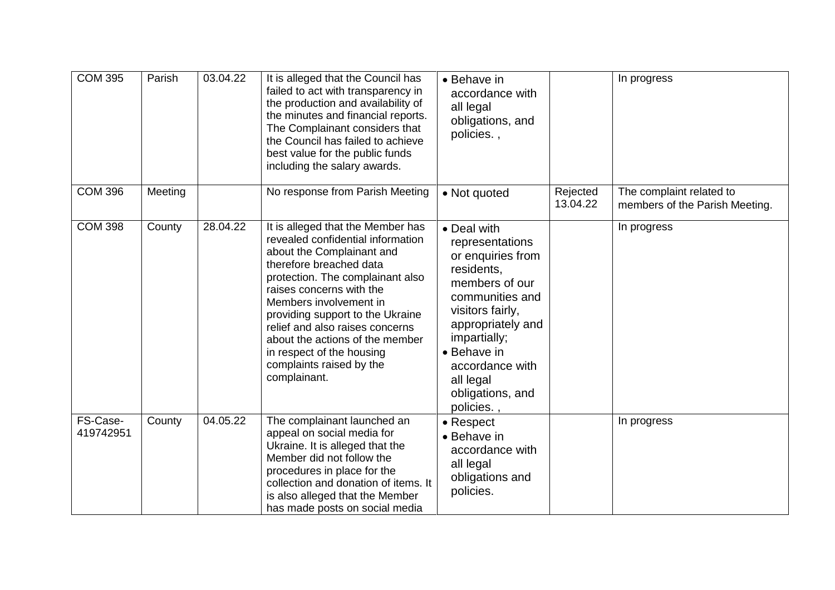| <b>COM 395</b>        | Parish  | 03.04.22 | It is alleged that the Council has<br>failed to act with transparency in<br>the production and availability of<br>the minutes and financial reports.<br>The Complainant considers that<br>the Council has failed to achieve<br>best value for the public funds<br>including the salary awards.                                                                                                              | • Behave in<br>accordance with<br>all legal<br>obligations, and<br>policies.,                                                                                                                                                                    |                      | In progress                                                |
|-----------------------|---------|----------|-------------------------------------------------------------------------------------------------------------------------------------------------------------------------------------------------------------------------------------------------------------------------------------------------------------------------------------------------------------------------------------------------------------|--------------------------------------------------------------------------------------------------------------------------------------------------------------------------------------------------------------------------------------------------|----------------------|------------------------------------------------------------|
| <b>COM 396</b>        | Meeting |          | No response from Parish Meeting                                                                                                                                                                                                                                                                                                                                                                             | • Not quoted                                                                                                                                                                                                                                     | Rejected<br>13.04.22 | The complaint related to<br>members of the Parish Meeting. |
| <b>COM 398</b>        | County  | 28.04.22 | It is alleged that the Member has<br>revealed confidential information<br>about the Complainant and<br>therefore breached data<br>protection. The complainant also<br>raises concerns with the<br>Members involvement in<br>providing support to the Ukraine<br>relief and also raises concerns<br>about the actions of the member<br>in respect of the housing<br>complaints raised by the<br>complainant. | • Deal with<br>representations<br>or enquiries from<br>residents,<br>members of our<br>communities and<br>visitors fairly,<br>appropriately and<br>impartially;<br>• Behave in<br>accordance with<br>all legal<br>obligations, and<br>policies., |                      | In progress                                                |
| FS-Case-<br>419742951 | County  | 04.05.22 | The complainant launched an<br>appeal on social media for<br>Ukraine. It is alleged that the<br>Member did not follow the<br>procedures in place for the<br>collection and donation of items. It<br>is also alleged that the Member<br>has made posts on social media                                                                                                                                       | • Respect<br>• Behave in<br>accordance with<br>all legal<br>obligations and<br>policies.                                                                                                                                                         |                      | In progress                                                |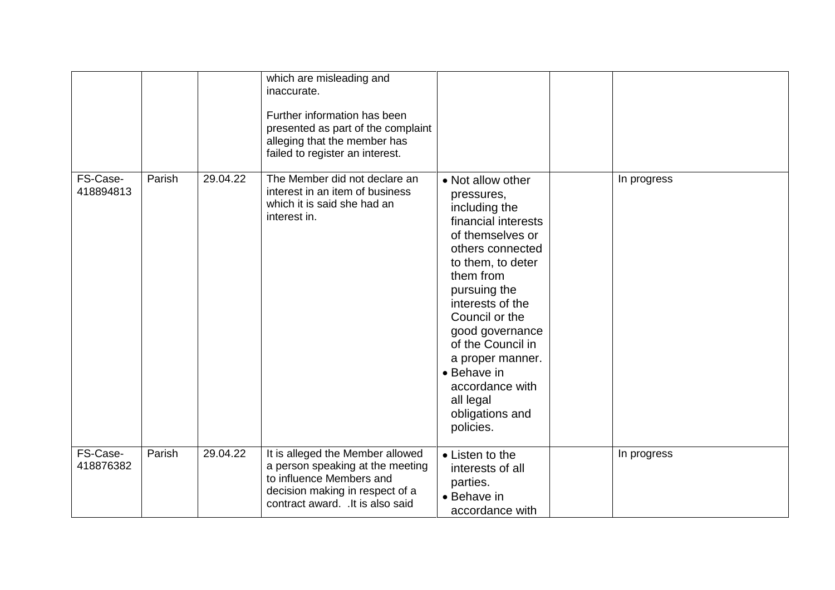|                       |        |          | which are misleading and<br>inaccurate.<br>Further information has been<br>presented as part of the complaint<br>alleging that the member has<br>failed to register an interest. |                                                                                                                                                                                                                                                                                                                                                    |             |
|-----------------------|--------|----------|----------------------------------------------------------------------------------------------------------------------------------------------------------------------------------|----------------------------------------------------------------------------------------------------------------------------------------------------------------------------------------------------------------------------------------------------------------------------------------------------------------------------------------------------|-------------|
| FS-Case-<br>418894813 | Parish | 29.04.22 | The Member did not declare an<br>interest in an item of business<br>which it is said she had an<br>interest in.                                                                  | • Not allow other<br>pressures,<br>including the<br>financial interests<br>of themselves or<br>others connected<br>to them, to deter<br>them from<br>pursuing the<br>interests of the<br>Council or the<br>good governance<br>of the Council in<br>a proper manner.<br>• Behave in<br>accordance with<br>all legal<br>obligations and<br>policies. | In progress |
| FS-Case-<br>418876382 | Parish | 29.04.22 | It is alleged the Member allowed<br>a person speaking at the meeting<br>to influence Members and<br>decision making in respect of a<br>contract award. . It is also said         | • Listen to the<br>interests of all<br>parties.<br>• Behave in<br>accordance with                                                                                                                                                                                                                                                                  | In progress |